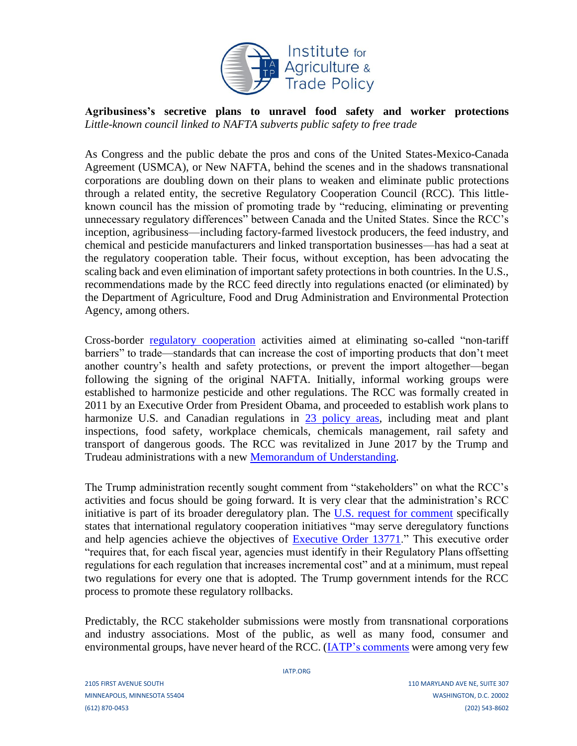

**Agribusiness's secretive plans to unravel food safety and worker protections**  *Little-known council linked to NAFTA subverts public safety to free trade*

As Congress and the public debate the pros and cons of the United States-Mexico-Canada Agreement (USMCA), or New NAFTA, behind the scenes and in the shadows transnational corporations are doubling down on their plans to weaken and eliminate public protections through a related entity, the secretive Regulatory Cooperation Council (RCC). This littleknown council has the mission of promoting trade by "reducing, eliminating or preventing unnecessary regulatory differences" between Canada and the United States. Since the RCC's inception, agribusiness—including factory-farmed livestock producers, the feed industry, and chemical and pesticide manufacturers and linked transportation businesses—has had a seat at the regulatory cooperation table. Their focus, without exception, has been advocating the scaling back and even elimination of important safety protections in both countries. In the U.S., recommendations made by the RCC feed directly into regulations enacted (or eliminated) by the Department of Agriculture, Food and Drug Administration and Environmental Protection Agency, among others.

Cross-border [regulatory cooperation](https://www.iatp.org/new-nafta-grp) activities aimed at eliminating so-called "non-tariff barriers" to trade—standards that can increase the cost of importing products that don't meet another country's health and safety protections, or prevent the import altogether—began following the signing of the original NAFTA. Initially, informal working groups were established to harmonize pesticide and other regulations. The RCC was formally created in 2011 by an Executive Order from President Obama, and proceeded to establish work plans to harmonize U.S. and Canadian regulations in [23 policy areas,](https://www.trade.gov/rcc/workplans.asp) including meat and plant inspections, food safety, workplace chemicals, chemicals management, rail safety and transport of dangerous goods. The RCC was revitalized in June 2017 by the Trump and Trudeau administrations with a new [Memorandum of Understanding.](https://www.whitehouse.gov/wp-content/uploads/2018/06/US-CanadaMOU.pdf)

The Trump administration recently sought comment from "stakeholders" on what the RCC's activities and focus should be going forward. It is very clear that the administration's RCC initiative is part of its broader deregulatory plan. The [U.S. request for comment](https://www.regulations.gov/document?D=OMB-2018-0006-0001) specifically states that international regulatory cooperation initiatives "may serve deregulatory functions and help agencies achieve the objectives of [Executive Order 13771.](https://sensiblesafeguards.org/flipping-the-conservative-agenda/)" This executive order "requires that, for each fiscal year, agencies must identify in their Regulatory Plans offsetting regulations for each regulation that increases incremental cost" and at a minimum, must repeal two regulations for every one that is adopted. The Trump government intends for the RCC process to promote these regulatory rollbacks.

Predictably, the RCC stakeholder submissions were mostly from transnational corporations and industry associations. Most of the public, as well as many food, consumer and environmental groups, have never heard of the RCC. [\(IATP's comments](https://www.iatp.org/documents/re-us-canada-rcc-request-information) were among very few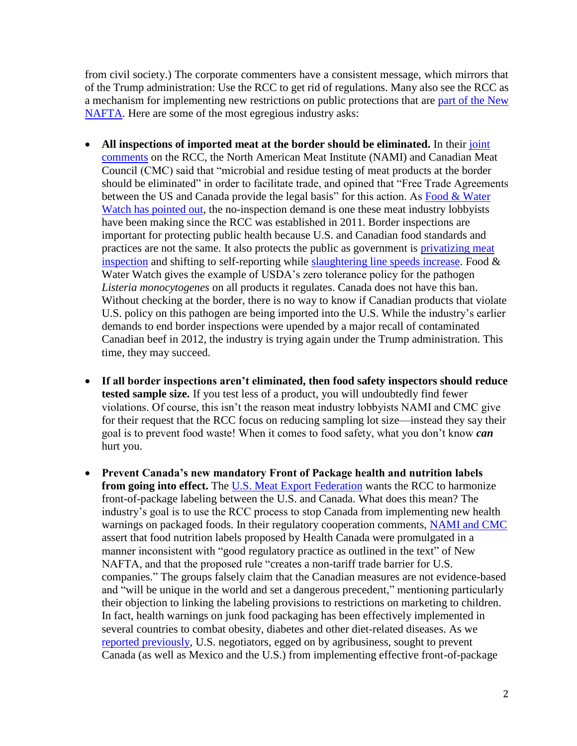from civil society.) The corporate commenters have a consistent message, which mirrors that of the Trump administration: Use the RCC to get rid of regulations. Many also see the RCC as a mechanism for implementing new restrictions on public protections that are [part of the New](https://www.iatp.org/documents/new-nafta-would-worsen-family-farm-crisis-and-keep-consumers-dark-about-their-food)  [NAFTA.](https://www.iatp.org/documents/new-nafta-would-worsen-family-farm-crisis-and-keep-consumers-dark-about-their-food) Here are some of the most egregious industry asks:

- **All inspections of imported meat at the border should be eliminated.** In their [joint](https://www.regulations.gov/document?D=OMB-2018-0006-0007)  [comments](https://www.regulations.gov/document?D=OMB-2018-0006-0007) on the RCC, the North American Meat Institute (NAMI) and Canadian Meat Council (CMC) said that "microbial and residue testing of meat products at the border should be eliminated" in order to facilitate trade, and opined that "Free Trade Agreements" between the US and Canada provide the legal basis" for this action. As Food & Water [Watch has pointed out,](https://www.regulations.gov/document?D=OMB-2018-0006-0029) the no-inspection demand is one these meat industry lobbyists have been making since the RCC was established in 2011. Border inspections are important for protecting public health because U.S. and Canadian food standards and practices are not the same. It also protects the public as government is *privatizing meat* [inspection](https://www.iatp.org/blog/2017-salmonella-outbreak-why) and shifting to self-reporting while [slaughtering line speeds increase.](https://www.iatp.org/blog/choose-your-production-speed) Food  $\&$ Water Watch gives the example of USDA's zero tolerance policy for the pathogen *Listeria monocytogenes* on all products it regulates. Canada does not have this ban. Without checking at the border, there is no way to know if Canadian products that violate U.S. policy on this pathogen are being imported into the U.S. While the industry's earlier demands to end border inspections were upended by a major recall of contaminated Canadian beef in 2012, the industry is trying again under the Trump administration. This time, they may succeed.
- **If all border inspections aren't eliminated, then food safety inspectors should reduce tested sample size.** If you test less of a product, you will undoubtedly find fewer violations. Of course, this isn't the reason meat industry lobbyists NAMI and CMC give for their request that the RCC focus on reducing sampling lot size—instead they say their goal is to prevent food waste! When it comes to food safety, what you don't know *can* hurt you.
- **Prevent Canada's new mandatory Front of Package health and nutrition labels from going into effect.** The [U.S. Meat Export Federation](https://www.regulations.gov/document?D=OMB-2018-0006-0039) wants the RCC to harmonize front-of-package labeling between the U.S. and Canada. What does this mean? The industry's goal is to use the RCC process to stop Canada from implementing new health warnings on packaged foods. In their regulatory cooperation comments, [NAMI and CMC](https://www.regulations.gov/document?D=OMB-2018-0006-0007)  assert that food nutrition labels proposed by Health Canada were promulgated in a manner inconsistent with "good regulatory practice as outlined in the text" of New NAFTA, and that the proposed rule "creates a non-tariff trade barrier for U.S. companies." The groups falsely claim that the Canadian measures are not evidence-based and "will be unique in the world and set a dangerous precedent," mentioning particularly their objection to linking the labeling provisions to restrictions on marketing to children. In fact, health warnings on junk food packaging has been effectively implemented in several countries to combat obesity, diabetes and other diet-related diseases. As we [reported previously,](https://www.iatp.org/documents/junk-food-junk-provisions) U.S. negotiators, egged on by agribusiness, sought to prevent Canada (as well as Mexico and the U.S.) from implementing effective front-of-package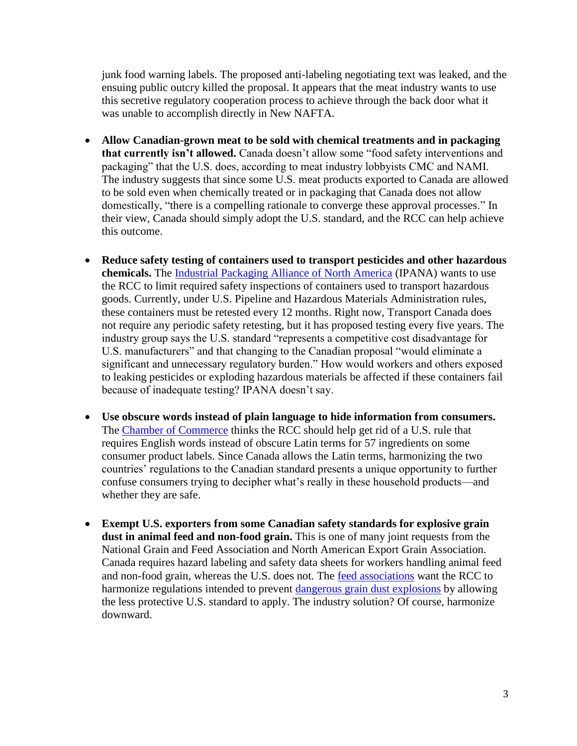junk food warning labels. The proposed anti-labeling negotiating text was leaked, and the ensuing public outcry killed the proposal. It appears that the meat industry wants to use this secretive regulatory cooperation process to achieve through the back door what it was unable to accomplish directly in New NAFTA.

- **Allow Canadian-grown meat to be sold with chemical treatments and in packaging that currently isn't allowed.** Canada doesn't allow some "food safety interventions and packaging" that the U.S. does, according to meat industry lobbyists CMC and NAMI. The industry suggests that since some U.S. meat products exported to Canada are allowed to be sold even when chemically treated or in packaging that Canada does not allow domestically, "there is a compelling rationale to converge these approval processes." In their view, Canada should simply adopt the U.S. standard, and the RCC can help achieve this outcome.
- **Reduce safety testing of containers used to transport pesticides and other hazardous chemicals.** The [Industrial Packaging Alliance of North America](https://www.regulations.gov/document?D=OMB-2018-0006-0005) (IPANA) wants to use the RCC to limit required safety inspections of containers used to transport hazardous goods. Currently, under U.S. Pipeline and Hazardous Materials Administration rules, these containers must be retested every 12 months. Right now, Transport Canada does not require any periodic safety retesting, but it has proposed testing every five years. The industry group says the U.S. standard "represents a competitive cost disadvantage for U.S. manufacturers" and that changing to the Canadian proposal "would eliminate a significant and unnecessary regulatory burden." How would workers and others exposed to leaking pesticides or exploding hazardous materials be affected if these containers fail because of inadequate testing? IPANA doesn't say.
- **Use obscure words instead of plain language to hide information from consumers.** The [Chamber of Commerce](https://www.regulations.gov/document?D=OMB-2018-0006-0048) thinks the RCC should help get rid of a U.S. rule that requires English words instead of obscure Latin terms for 57 ingredients on some consumer product labels. Since Canada allows the Latin terms, harmonizing the two countries' regulations to the Canadian standard presents a unique opportunity to further confuse consumers trying to decipher what's really in these household products—and whether they are safe.
- **Exempt U.S. exporters from some Canadian safety standards for explosive grain dust in animal feed and non-food grain.** This is one of many joint requests from the National Grain and Feed Association and North American Export Grain Association. Canada requires hazard labeling and safety data sheets for workers handling animal feed and non-food grain, whereas the U.S. does not. The [feed associations](https://www.regulations.gov/document?D=OMB-2018-0006-0021) want the RCC to harmonize regulations intended to prevent [dangerous grain dust explosions](https://www.agprofessional.com/article/five-fatalities-2017-grain-dust-explosions) by allowing the less protective U.S. standard to apply. The industry solution? Of course, harmonize downward.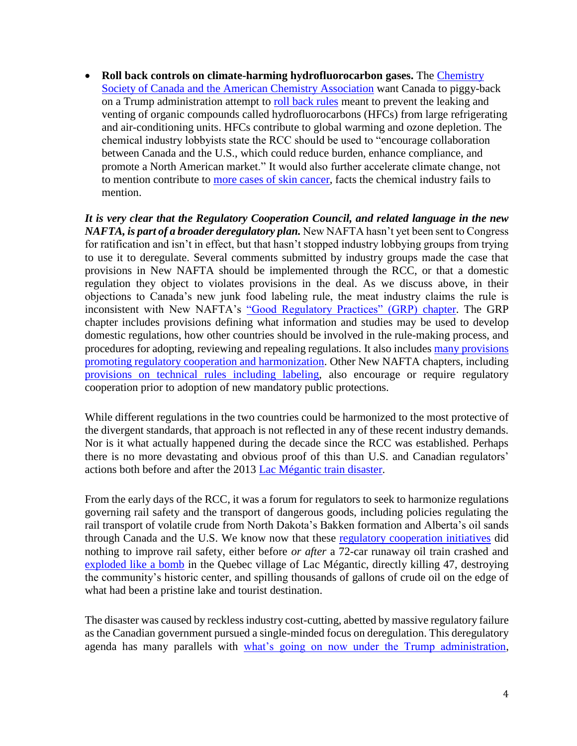• **Roll back controls on climate-harming hydrofluorocarbon gases.** The [Chemistry](https://www.regulations.gov/document?D=OMB-2018-0006-0020)  Society of Canada and [the American Chemistry Association](https://www.regulations.gov/document?D=OMB-2018-0006-0020) want Canada to piggy-back on a Trump administration attempt to [roll back rules](https://www.washingtonpost.com/news/powerpost/paloma/the-energy-202/2018/09/21/the-energy-202-trump-s-epa-is-targeting-rules-for-yet-another-greenhouse-gas/5ba3eda31b326b7c8a8d158e/?utm_term=.c594a392df5a) meant to prevent the leaking and venting of organic compounds called hydrofluorocarbons (HFCs) from large refrigerating and air-conditioning units. HFCs contribute to global warming and ozone depletion. The chemical industry lobbyists state the RCC should be used to "encourage collaboration between Canada and the U.S., which could reduce burden, enhance compliance, and promote a North American market." It would also further accelerate climate change, not to mention contribute to [more cases of skin cancer,](https://www.pca.state.mn.us/air/chlorofluorocarbons-cfcs-and-hydrofluorocarbons-hfcs) facts the chemical industry fails to mention.

*It is very clear that the Regulatory Cooperation Council, and related language in the new NAFTA, is part of a broader deregulatory plan.* New NAFTA hasn't yet been sent to Congress for ratification and isn't in effect, but that hasn't stopped industry lobbying groups from trying to use it to deregulate. Several comments submitted by industry groups made the case that provisions in New NAFTA should be implemented through the RCC, or that a domestic regulation they object to violates provisions in the deal. As we discuss above, in their objections to Canada's new junk food labeling rule, the meat industry claims the rule is inconsistent with New NAFTA's ["Good Regulatory Practices" \(GRP\) chapter.](https://ustr.gov/sites/default/files/files/agreements/FTA/USMCA/Text/28_Good_Regulatory_Practices.pdf) The GRP chapter includes provisions defining what information and studies may be used to develop domestic regulations, how other countries should be involved in the rule-making process, and procedures for adopting, reviewing and repealing regulations. It also include[s many provisions](https://www.iatp.org/documents/new-nafta-imposes-hurdles-delay-and-weaken-public-protections)  [promoting regulatory cooperation and harmonization.](https://www.iatp.org/documents/new-nafta-imposes-hurdles-delay-and-weaken-public-protections) Other New NAFTA chapters, including [provisions on technical rules including labeling,](https://ustr.gov/sites/default/files/files/agreements/FTA/USMCA/Text/12_Sectoral_Annexes.pdf) also encourage or require regulatory cooperation prior to adoption of new mandatory public protections.

While different regulations in the two countries could be harmonized to the most protective of the divergent standards, that approach is not reflected in any of these recent industry demands. Nor is it what actually happened during the decade since the RCC was established. Perhaps there is no more devastating and obvious proof of this than U.S. and Canadian regulators' actions both before and after the 2013 [Lac Mégantic](https://en.wikipedia.org/wiki/Lac-M%C3%A9gantic_rail_disaster) train disaster.

From the early days of the RCC, it was a forum for regulators to seek to harmonize regulations governing rail safety and the transport of dangerous goods, including policies regulating the rail transport of volatile crude from North Dakota's Bakken formation and Alberta's oil sands through Canada and the U.S. We know now that these [regulatory cooperation initiatives](https://www.tc.gc.ca/eng/acts-regulations/tc-usdot-859.html) did nothing to improve rail safety, either before *or after* a 72-car runaway oil train crashed and [exploded like a bomb](https://www.youtube.com/watch?v=-7j7We6ppac) in the Quebec village of Lac Mégantic, directly killing 47, destroying the community's historic center, and spilling thousands of gallons of crude oil on the edge of what had been a pristine lake and tourist destination.

The disaster was caused by reckless industry cost-cutting, abetted by massive regulatory failure as the Canadian government pursued a single-minded focus on deregulation. This deregulatory agenda has many parallels with [what's going on now under the Trump administration,](https://sensiblesafeguards.org/waronregs/)